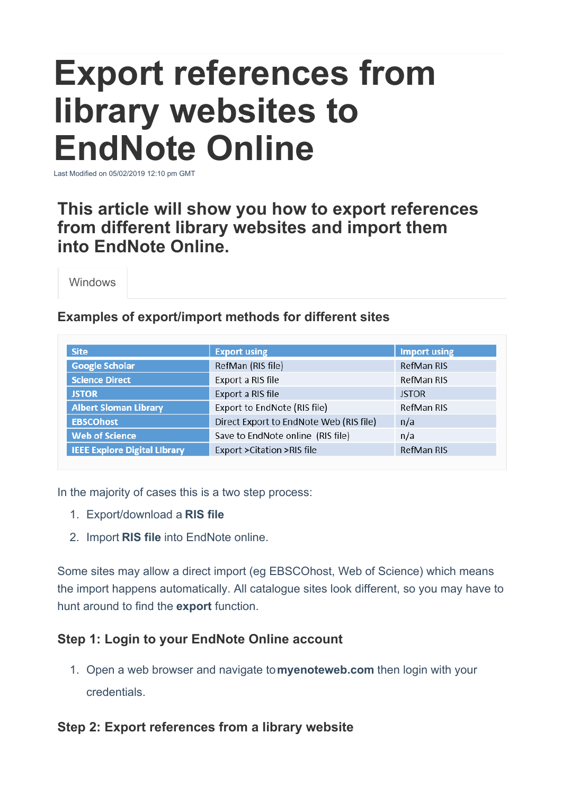# **Export references from library websites to EndNote Online**

Last Modified on 05/02/2019 12:10 pm GMT

# **This article will show you how to export references from different library websites and import them into EndNote Online.**

Windows

#### **Examples of export/import methods for different sites**

| <b>Site</b>                         | <b>Export using</b>                     | <b>Import using</b> |
|-------------------------------------|-----------------------------------------|---------------------|
| <b>Google Scholar</b>               | RefMan (RIS file)                       | RefMan RIS          |
| <b>Science Direct</b>               | Export a RIS file                       | RefMan RIS          |
| <b>JSTOR</b>                        | Export a RIS file                       | <b>JSTOR</b>        |
| <b>Albert Sloman Library</b>        | Export to EndNote (RIS file)            | RefMan RIS          |
| <b>EBSCOhost</b>                    | Direct Export to EndNote Web (RIS file) | n/a                 |
| <b>Web of Science</b>               | Save to EndNote online (RIS file)       | n/a                 |
| <b>IEEE Explore Digital Library</b> | Export > Citation > RIS file            | RefMan RIS          |

In the majority of cases this is a two step process:

- 1. Export/download a **RIS file**
- 2. Import **RIS file** into EndNote online.

Some sites may allow a direct import (eg EBSCOhost, Web of Science) which means the import happens automatically. All catalogue sites look different, so you may have to hunt around to find the **export** function.

## **Step 1: Login to your EndNote Online account**

1. Open a web browser and navigate to**myenoteweb.com** then login with your credentials.

## **Step 2: Export references from a library website**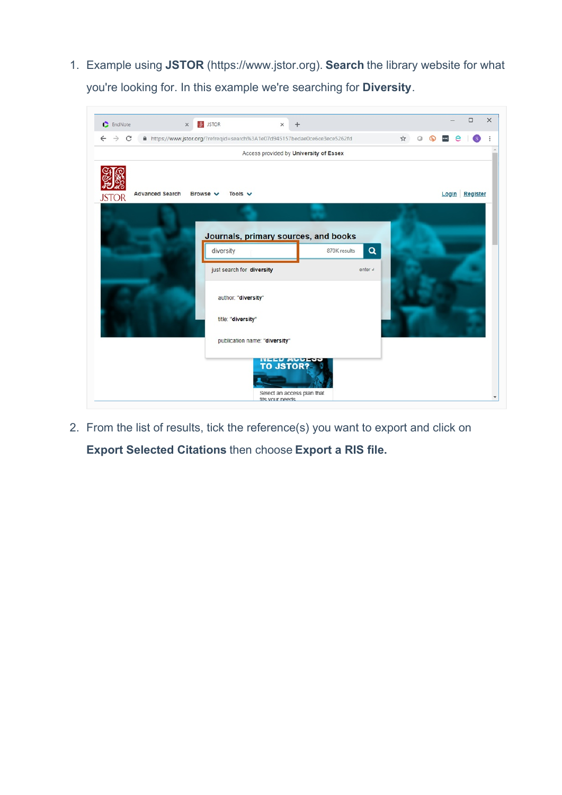1. Example using **JSTOR** (https://www.jstor.org). **Search** the library website for what you're looking for. In this example we're searching for **Diversity**.

| https://www.jstor.org/?refreqid=search%3A1e07d945157bedae0ce6ce3ece5262fd<br>Tools $\vee$<br>Browse v | Access provided by University of Essex          |                    | ☆<br>Q                     |                 | Login Register |
|-------------------------------------------------------------------------------------------------------|-------------------------------------------------|--------------------|----------------------------|-----------------|----------------|
|                                                                                                       |                                                 |                    |                            |                 |                |
|                                                                                                       |                                                 |                    |                            |                 |                |
|                                                                                                       |                                                 |                    |                            |                 |                |
|                                                                                                       |                                                 |                    |                            |                 |                |
|                                                                                                       |                                                 |                    |                            |                 |                |
|                                                                                                       |                                                 |                    |                            |                 |                |
|                                                                                                       |                                                 |                    |                            |                 |                |
| Journals, primary sources, and books                                                                  |                                                 |                    |                            |                 |                |
| diversity                                                                                             | 870K results                                    | $\alpha$           |                            |                 |                |
|                                                                                                       |                                                 |                    |                            |                 |                |
|                                                                                                       |                                                 | enter $e$          |                            |                 |                |
|                                                                                                       |                                                 |                    |                            |                 |                |
| author: "diversity"                                                                                   |                                                 |                    |                            |                 |                |
|                                                                                                       |                                                 |                    |                            |                 |                |
|                                                                                                       |                                                 |                    |                            |                 |                |
| publication name: "diversity"                                                                         |                                                 |                    |                            |                 |                |
|                                                                                                       |                                                 |                    |                            |                 |                |
|                                                                                                       |                                                 |                    |                            |                 |                |
|                                                                                                       |                                                 |                    |                            |                 |                |
|                                                                                                       |                                                 |                    |                            |                 |                |
|                                                                                                       | just search for diversity<br>title: "diversity" | <b>NEED ACCESS</b> | Select an access plan that | fits your needs |                |

2. From the list of results, tick the reference(s) you want to export and click on **Export Selected Citations** then choose **Export a RIS file.**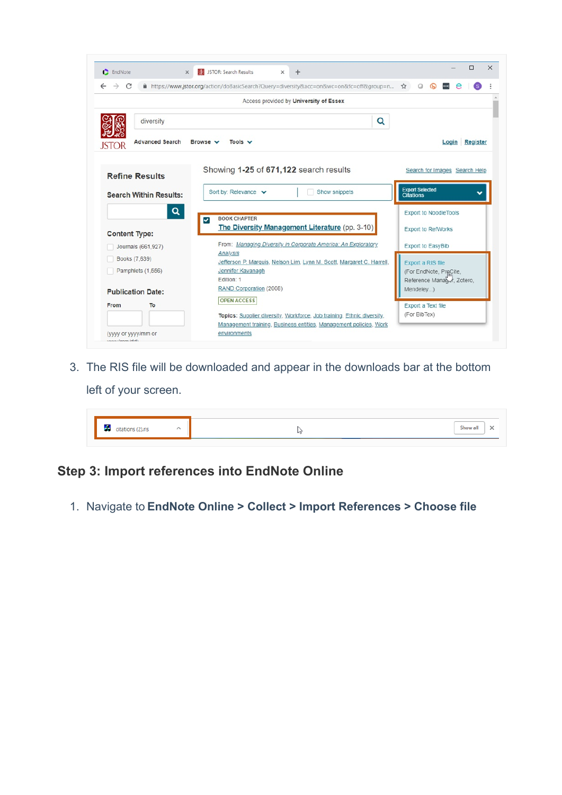| EndNote                                                        | 蘭屋 JSTOR: Search Results<br>$\times$                                                       |                                              | $\times$<br>$\ddot{}$ |                                                                                                                                             |                                            | $\Box$<br>$\times$                                        |
|----------------------------------------------------------------|--------------------------------------------------------------------------------------------|----------------------------------------------|-----------------------|---------------------------------------------------------------------------------------------------------------------------------------------|--------------------------------------------|-----------------------------------------------------------|
| C<br>$\rightarrow$<br>$\leftarrow$                             | A https://www.jstor.org/action/doBasicSearch?Query=diversity&acc=on&wc=on&fc=off&group=n ☆ |                                              |                       |                                                                                                                                             | $\circ$                                    | $\bigcirc$                                                |
|                                                                |                                                                                            | Access provided by University of Essex       |                       |                                                                                                                                             |                                            |                                                           |
| diversity                                                      |                                                                                            |                                              |                       |                                                                                                                                             | Q                                          |                                                           |
| <b>Advanced Search</b>                                         | Browse v                                                                                   | Tools $\vee$                                 |                       |                                                                                                                                             |                                            | Login Register                                            |
| <b>Refine Results</b>                                          |                                                                                            | Showing 1-25 of 671,122 search results       |                       |                                                                                                                                             |                                            | Search for Images Search Help                             |
| <b>Search Within Results:</b>                                  | Sort by: Relevance $\vee$                                                                  |                                              |                       | Show snippets                                                                                                                               | <b>Export Selected</b><br><b>Citations</b> |                                                           |
| <b>Content Type:</b>                                           | Q<br><b>BOOK CHAPTER</b><br>◡                                                              |                                              |                       | The Diversity Management Literature (pp. 3-10)                                                                                              |                                            | <b>Export to NoodleTools</b><br><b>Export to RefWorks</b> |
| Journals (661,927)                                             |                                                                                            |                                              |                       | From: Managing Diversity in Corporate America: An Exploratory                                                                               |                                            | Export to EasyBib                                         |
| Books (7,639)<br>Pamphlets (1,556)<br><b>Publication Date:</b> | Analysis<br>Edition: 1                                                                     | Jennifer Kavanagh<br>RAND Corporation (2008) |                       | Jefferson P. Marquis, Nelson Lim, Lynn M. Scott, Margaret C. Harrell,                                                                       | Export a RIS file<br>Mendeley)             | (For EndNote, ProCite,<br>Reference Manager, Zotero,      |
| To<br>From                                                     |                                                                                            | <b>OPEN ACCESS</b>                           |                       | Topics: Supplier diversity, Workforce, Job training, Ethnic diversity,<br>Management training, Business entities, Management policies, Work | Export a Text file<br>(For BibTex)         |                                                           |

3. The RIS file will be downloaded and appear in the downloads bar at the bottom left of your screen.

|  | <b>Show</b> |
|--|-------------|

#### **Step 3: Import references into EndNote Online**

1. Navigate to **EndNote Online > Collect > Import References > Choose file**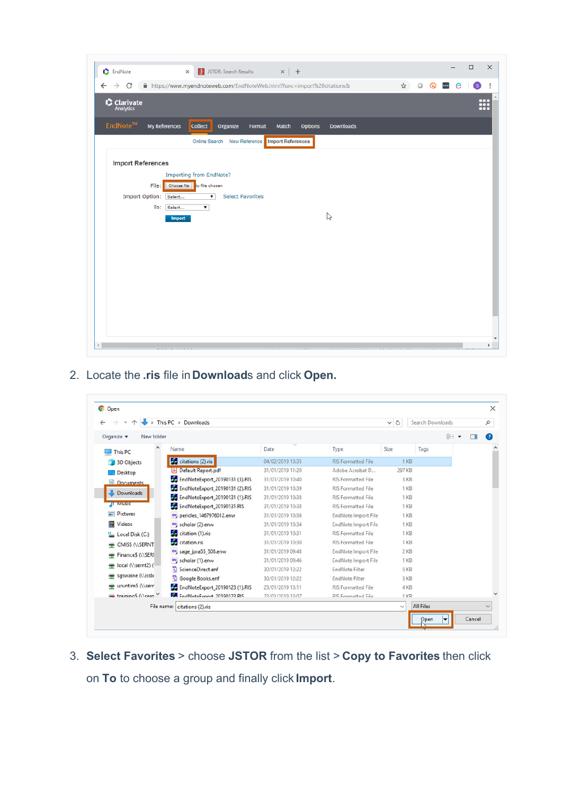| <b>C</b> EndNote                   |                                                                       | $\times$                                                                                                      | <b>DES</b> JSTOR: Search Results $x \mid +$ |        |                   |                |                  |   |         |   |                              | $\Box$ | $\times$      |
|------------------------------------|-----------------------------------------------------------------------|---------------------------------------------------------------------------------------------------------------|---------------------------------------------|--------|-------------------|----------------|------------------|---|---------|---|------------------------------|--------|---------------|
| C<br>$\rightarrow$<br>$\leftarrow$ | https://www.myendnoteweb.com/EndNoteWeb.html?func=import%20citations& |                                                                                                               |                                             |        |                   |                |                  | ☆ | $\circ$ | ൈ | e<br>$\left  \cdots \right $ | (S)    | ÷             |
| $\bullet$ Clarivate                |                                                                       |                                                                                                               |                                             |        |                   |                |                  |   |         |   |                              |        | m             |
| EndNote™                           | My References                                                         | <b>Collect</b>                                                                                                | Organize                                    | Format | Match             | <b>Options</b> | <b>Downloads</b> |   |         |   |                              |        |               |
|                                    |                                                                       |                                                                                                               | Online Search New Reference                 |        | Import References |                |                  |   |         |   |                              |        |               |
| <b>Import References</b>           |                                                                       |                                                                                                               |                                             |        |                   |                |                  |   |         |   |                              |        |               |
| <b>Import Option:</b>              | File:<br>Select<br>To:<br>Select<br><b>Import</b>                     | <b>Importing from EndNote?</b><br>Choose file to file chosen<br>$\overline{\mathbf{r}}$<br>$\pmb{\mathrm{v}}$ | <b>Select Favorites</b>                     |        |                   |                | r,               |   |         |   |                              |        |               |
|                                    |                                                                       |                                                                                                               |                                             |        |                   |                |                  |   |         |   |                              |        |               |
|                                    |                                                                       |                                                                                                               |                                             |        |                   |                |                  |   |         |   |                              |        |               |
|                                    |                                                                       |                                                                                                               |                                             |        |                   |                |                  |   |         |   |                              |        |               |
| $\leftarrow$                       |                                                                       |                                                                                                               |                                             |        |                   |                |                  |   |         |   |                              |        | $\mathfrak b$ |

2. Locate the **.ris** file in **Download**s and click **Open.**

|                          | This PC > Downloads                          |                  |                           | $\vee$ 0        | Search Downloads |                              | Q         |
|--------------------------|----------------------------------------------|------------------|---------------------------|-----------------|------------------|------------------------------|-----------|
| Organize v<br>New folder |                                              |                  |                           |                 | 胆                | $\overline{\mathbf{v}}$<br>Ш | $\bullet$ |
| ۸<br>This PC             | Name                                         | Date             | Type                      | Size            | Tags             |                              |           |
| 3D Objects               | citations (2) ris                            | 04/02/2019 13:35 | <b>RIS Formatted File</b> | 1 KB            |                  |                              |           |
| Desktop                  | Default Report.pdf<br>$\left  \cdot \right $ | 31/01/2019 11:20 | Adobe Acrobat D           | 297 KB          |                  |                              |           |
| <b>El Documents</b>      | EndNoteExport_20190131 (3).RIS               | 31/01/2019 10:40 | <b>RIS Formatted File</b> | 3 KB            |                  |                              |           |
| Downloads                | <b>Bo</b> EndNoteExport 20190131 (2).RIS     | 31/01/2019 10:39 | <b>RIS Formatted File</b> | 1 <sub>KB</sub> |                  |                              |           |
|                          | Fo EndNoteExport_20190131 (1).RIS            | 31/01/2019 10:38 | <b>RIS Formatted File</b> | 1 KB            |                  |                              |           |
| <b>D</b> Music           | EndNoteExport_20190131.RIS                   | 31/01/2019 10:38 | <b>RIS Formatted File</b> | $1$ KB          |                  |                              |           |
| Pictures                 | EN pericles 1467976012.enw                   | 31/01/2019 10:36 | EndNote Import File       | 1 <sub>KB</sub> |                  |                              |           |
| Videos                   | EN, scholar (2).enw                          | 31/01/2019 10:34 | EndNote Import File       | 1 KB            |                  |                              |           |
| Local Disk (C:)          | J.<br>citation (1).ris                       | 31/01/2019 10:31 | <b>RIS Formatted File</b> | $1$ KB          |                  |                              |           |
| CMISS (\\SERNT           | <b>A</b> citation.ris                        | 31/01/2019 10:30 | <b>RIS Formatted File</b> | $1$ KB          |                  |                              |           |
| FinanceS (\\SERI         | EN sage_jpra55_508.enw                       | 31/01/2019 09:48 | EndNote Import File       | $2$ KB          |                  |                              |           |
|                          | EN, scholar (1).enw                          | 31/01/2019 09:46 | EndNote Import File       | 1 KB            |                  |                              |           |
| local (\\sernt2) (       | 뭐<br>ScienceDirect.enf                       | 30/01/2019 12:22 | <b>EndNote Filter</b>     | 5 KB            |                  |                              |           |
| sqswaine (\\isslx        | 周<br>Google Books.enf                        | 30/01/2019 12:22 | <b>EndNote Filter</b>     | 3 KB            |                  |                              |           |
| uruntim\$ (\\serr        | 4.<br>EndNoteExport 20190123 (1).RIS         | 23/01/2019 13:11 | <b>RIS Formatted File</b> | 4 <sub>KB</sub> |                  |                              |           |
| training S Olsern        | FindNoteFynort 20190123 RIS                  | 23/01/2010 13:07 | <b>RIS Formatted File</b> | $1$ KR          |                  |                              |           |
|                          | File name: citations (2).ris                 |                  |                           | $\checkmark$    | <b>All Files</b> |                              |           |

3. **Select Favorites** > choose **JSTOR** from the list > **Copy to Favorites** then click on **To** to choose a group and finally click **Import**.